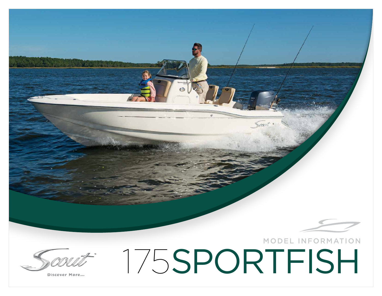